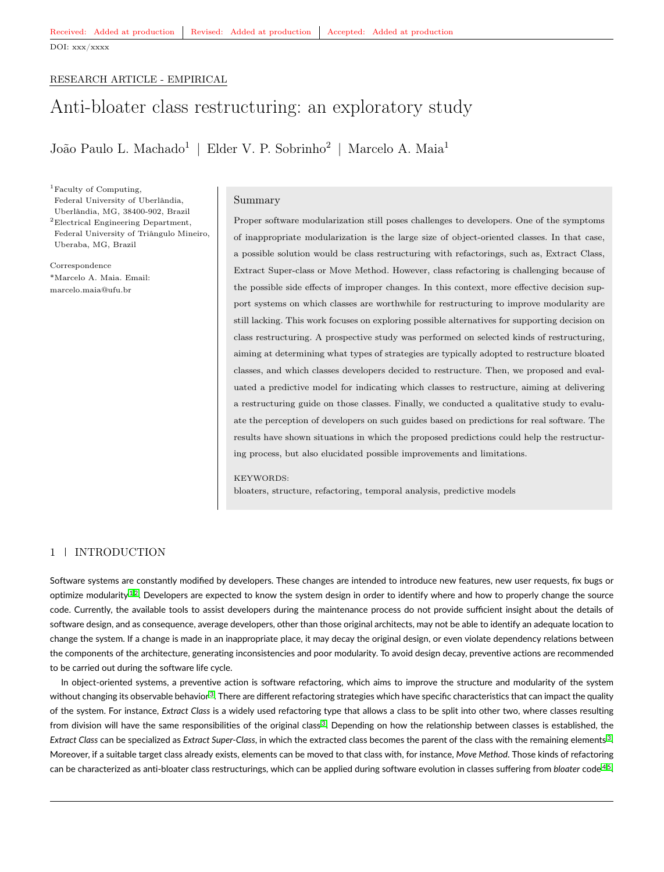# <span id="page-0-0"></span>RESEARCH ARTICLE - EMPIRICAL

# Anti-bloater class restructuring: an exploratory study

João Paulo L. Machado<sup>1</sup> | Elder V. P. Sobrinho<sup>2</sup> | Marcelo A. Maia<sup>1</sup>

<sup>1</sup>Faculty of Computing, Federal University of Uberlândia, Uberlândia, MG, 38400-902, Brazil <sup>2</sup>Electrical Engineering Department, Federal University of Triângulo Mineiro, Uberaba, MG, Brazil

Correspondence \*Marcelo A. Maia. Email: marcelo.maia@ufu.br

### Summary

Proper software modularization still poses challenges to developers. One of the symptoms of inappropriate modularization is the large size of object-oriented classes. In that case, a possible solution would be class restructuring with refactorings, such as, Extract Class, Extract Super-class or Move Method. However, class refactoring is challenging because of the possible side effects of improper changes. In this context, more effective decision support systems on which classes are worthwhile for restructuring to improve modularity are still lacking. This work focuses on exploring possible alternatives for supporting decision on class restructuring. A prospective study was performed on selected kinds of restructuring, aiming at determining what types of strategies are typically adopted to restructure bloated classes, and which classes developers decided to restructure. Then, we proposed and evaluated a predictive model for indicating which classes to restructure, aiming at delivering a restructuring guide on those classes. Finally, we conducted a qualitative study to evaluate the perception of developers on such guides based on predictions for real software. The results have shown situations in which the proposed predictions could help the restructuring process, but also elucidated possible improvements and limitations.

#### KEYWORDS:

bloaters, structure, refactoring, temporal analysis, predictive models

# 1 INTRODUCTION

Software systems are constantly modified by developers. These changes are intended to introduce new features, new user requests, fix bugs or optimize modularity  $1.2$  $1.2$ . Developers are expected to know the system design in order to identify where and how to properly change the source code. Currently, the available tools to assist developers during the maintenance process do not provide sufficient insight about the details of software design, and as consequence, average developers, other than those original architects, may not be able to identify an adequate location to change the system. If a change is made in an inappropriate place, it may decay the original design, or even violate dependency relations between the components of the architecture, generating inconsistencies and poor modularity. To avoid design decay, preventive actions are recommended to be carried out during the software life cycle.

In object-oriented systems, a preventive action is software refactoring, which aims to improve the structure and modularity of the system without changing its observable behavior $^3.$  $^3.$  $^3.$  There are different refactoring strategies which have specific characteristics that can impact the quality of the system. For instance, *Extract Class* is a widely used refactoring type that allows a class to be split into other two, where classes resulting from division will have the same responsibilities of the original class<sup>[3](#page-17-2)</sup>. Depending on how the relationship between classes is established, the *Extract Class* can be specialized as *Extract Super-Class*, in which the extracted class becomes the parent of the class with the remaining elements [3](#page-17-2) . Moreover, if a suitable target class already exists, elements can be moved to that class with, for instance, *Move Method*. Those kinds of refactoring can be characterized as anti-bloater class restructurings, which can be applied during software evolution in classes suffering from *bloater* code<sup>[4,](#page-17-3)[5](#page-17-4)</sup>.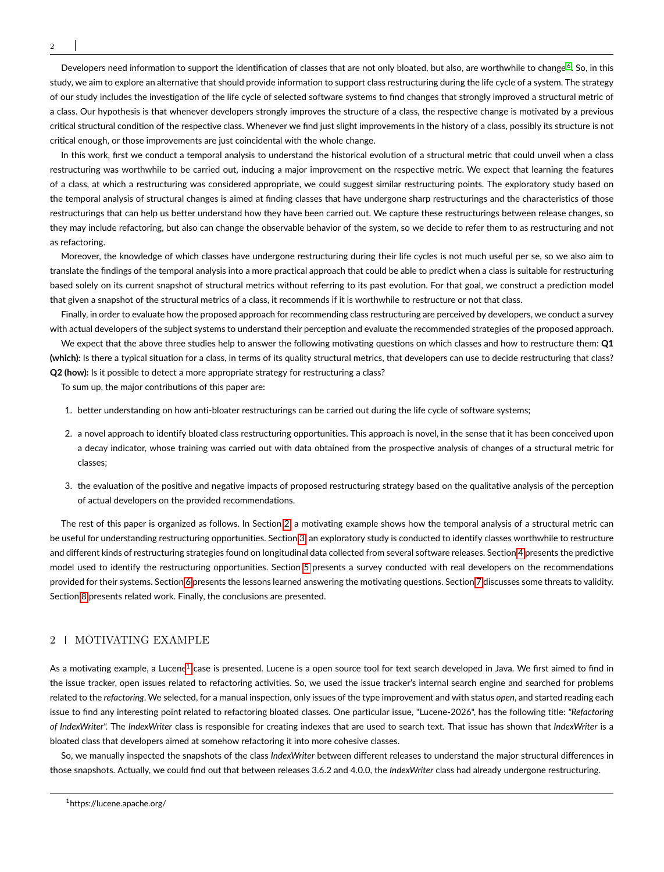Developers need information to support the identification of classes that are not only bloated, but also, are worthwhile to change <sup>[6](#page-17-5)</sup>. So, in this study, we aim to explore an alternative that should provide information to support class restructuring during the life cycle of a system. The strategy of our study includes the investigation of the life cycle of selected software systems to find changes that strongly improved a structural metric of a class. Our hypothesis is that whenever developers strongly improves the structure of a class, the respective change is motivated by a previous critical structural condition of the respective class. Whenever we find just slight improvements in the history of a class, possibly its structure is not critical enough, or those improvements are just coincidental with the whole change.

In this work, first we conduct a temporal analysis to understand the historical evolution of a structural metric that could unveil when a class restructuring was worthwhile to be carried out, inducing a major improvement on the respective metric. We expect that learning the features of a class, at which a restructuring was considered appropriate, we could suggest similar restructuring points. The exploratory study based on the temporal analysis of structural changes is aimed at finding classes that have undergone sharp restructurings and the characteristics of those restructurings that can help us better understand how they have been carried out. We capture these restructurings between release changes, so they may include refactoring, but also can change the observable behavior of the system, so we decide to refer them to as restructuring and not as refactoring.

Moreover, the knowledge of which classes have undergone restructuring during their life cycles is not much useful per se, so we also aim to translate the findings of the temporal analysis into a more practical approach that could be able to predict when a class is suitable for restructuring based solely on its current snapshot of structural metrics without referring to its past evolution. For that goal, we construct a prediction model that given a snapshot of the structural metrics of a class, it recommends if it is worthwhile to restructure or not that class.

Finally, in order to evaluate how the proposed approach for recommending class restructuring are perceived by developers, we conduct a survey with actual developers of the subject systems to understand their perception and evaluate the recommended strategies of the proposed approach.

We expect that the above three studies help to answer the following motivating questions on which classes and how to restructure them: **Q1 (which):** Is there a typical situation for a class, in terms of its quality structural metrics, that developers can use to decide restructuring that class? **Q2 (how):** Is it possible to detect a more appropriate strategy for restructuring a class?

To sum up, the major contributions of this paper are:

- 1. better understanding on how anti-bloater restructurings can be carried out during the life cycle of software systems;
- 2. a novel approach to identify bloated class restructuring opportunities. This approach is novel, in the sense that it has been conceived upon a decay indicator, whose training was carried out with data obtained from the prospective analysis of changes of a structural metric for classes;
- 3. the evaluation of the positive and negative impacts of proposed restructuring strategy based on the qualitative analysis of the perception of actual developers on the provided recommendations.

The rest of this paper is organized as follows. In Section [2,](#page-1-0) a motivating example shows how the temporal analysis of a structural metric can be useful for understanding restructuring opportunities. Section [3,](#page-3-0) an exploratory study is conducted to identify classes worthwhile to restructure and different kinds of restructuring strategies found on longitudinal data collected from several software releases. Section [4](#page-7-0) presents the predictive model used to identify the restructuring opportunities. Section [5](#page-10-0) presents a survey conducted with real developers on the recommendations provided for their systems. Section [6](#page-14-0) presents the lessons learned answering the motivating questions. Section [7](#page-14-1) discusses some threats to validity. Section [8](#page-15-0) presents related work. Finally, the conclusions are presented.

# <span id="page-1-0"></span>2 | MOTIVATING EXAMPLE

As a motivating example, a Lucene<sup>[1](#page-0-0)</sup> case is presented. Lucene is a open source tool for text search developed in Java. We first aimed to find in the issue tracker, open issues related to refactoring activities. So, we used the issue tracker's internal search engine and searched for problems related to the *refactoring*. We selected, for a manual inspection, only issues of the type improvement and with status *open*, and started reading each issue to find any interesting point related to refactoring bloated classes. One particular issue, "Lucene-2026", has the following title: *"Refactoring of IndexWriter".* The *IndexWriter* class is responsible for creating indexes that are used to search text. That issue has shown that *IndexWriter* is a bloated class that developers aimed at somehow refactoring it into more cohesive classes.

So, we manually inspected the snapshots of the class *IndexWriter* between different releases to understand the major structural differences in those snapshots. Actually, we could find out that between releases 3.6.2 and 4.0.0, the *IndexWriter* class had already undergone restructuring.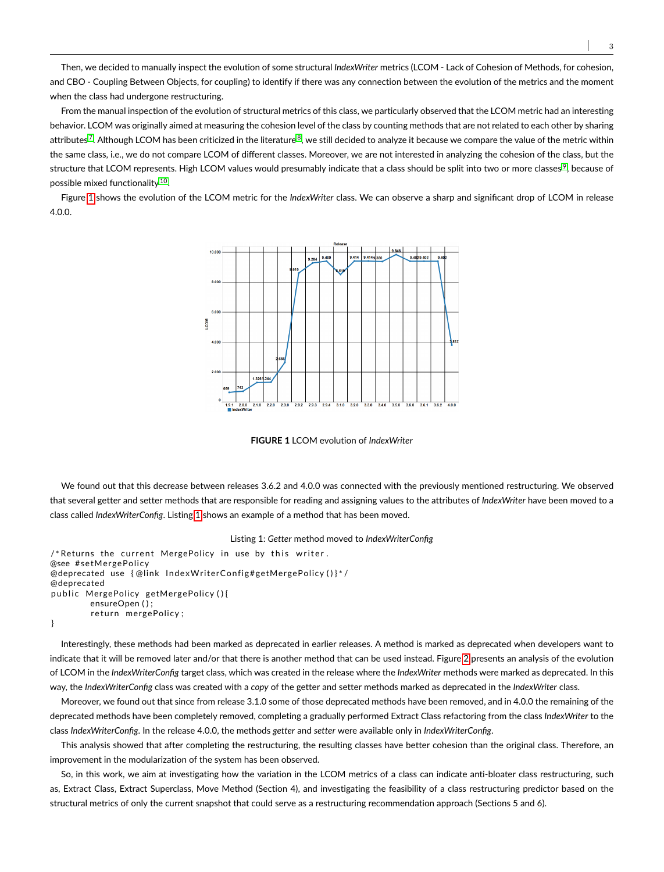Then, we decided to manually inspect the evolution of some structural *IndexWriter* metrics (LCOM - Lack of Cohesion of Methods, for cohesion, and CBO - Coupling Between Objects, for coupling) to identify if there was any connection between the evolution of the metrics and the moment when the class had undergone restructuring.

From the manual inspection of the evolution of structural metrics of this class, we particularly observed that the LCOM metric had an interesting behavior. LCOM was originally aimed at measuring the cohesion level of the class by counting methods that are not related to each other by sharing attributes<sup>[7](#page-17-6)</sup>. Although LCOM has been criticized in the literature  $^8$  $^8$ , we still decided to analyze it because we compare the value of the metric within the same class, i.e., we do not compare LCOM of different classes. Moreover, we are not interested in analyzing the cohesion of the class, but the structure that LCOM represents. High LCOM values would presumably indicate that a class should be split into two or more classes  $^9$  $^9$ , because of possible mixed functionality <sup>[10](#page-17-9)</sup>.

<span id="page-2-0"></span>Figure [1](#page-2-0) shows the evolution of the LCOM metric for the *IndexWriter* class. We can observe a sharp and significant drop of LCOM in release 4.0.0.



**FIGURE 1** LCOM evolution of *IndexWriter*

We found out that this decrease between releases 3.6.2 and 4.0.0 was connected with the previously mentioned restructuring. We observed that several getter and setter methods that are responsible for reading and assigning values to the attributes of *IndexWriter* have been moved to a class called *IndexWriterConfig*. Listing [1](#page-2-1) shows an example of a method that has been moved.

```
Listing 1: Getter method moved to IndexWriterConfig
```

```
/* Returns the current MergePolicy in use by this writer.
@see #setMergePolicy
@deprecated use {@link IndexWriterConfig#getMergePolicy ()}*/
@deprecated
public MergePolicy getMergePolicy (){
        ensureOpen ( ) ;
        return mergePolicy;
}
```
Interestingly, these methods had been marked as deprecated in earlier releases. A method is marked as deprecated when developers want to indicate that it will be removed later and/or that there is another method that can be used instead. Figure [2](#page-3-1) presents an analysis of the evolution of LCOM in the *IndexWriterConfig* target class, which was created in the release where the *IndexWriter* methods were marked as deprecated. In this way, the *IndexWriterConfig* class was created with a *copy* of the getter and setter methods marked as deprecated in the *IndexWriter* class.

Moreover, we found out that since from release 3.1.0 some of those deprecated methods have been removed, and in 4.0.0 the remaining of the deprecated methods have been completely removed, completing a gradually performed Extract Class refactoring from the class *IndexWriter* to the class *IndexWriterConfig*. In the release 4.0.0, the methods *getter* and *setter* were available only in *IndexWriterConfig*.

This analysis showed that after completing the restructuring, the resulting classes have better cohesion than the original class. Therefore, an improvement in the modularization of the system has been observed.

So, in this work, we aim at investigating how the variation in the LCOM metrics of a class can indicate anti-bloater class restructuring, such as, Extract Class, Extract Superclass, Move Method (Section 4), and investigating the feasibility of a class restructuring predictor based on the structural metrics of only the current snapshot that could serve as a restructuring recommendation approach (Sections 5 and 6).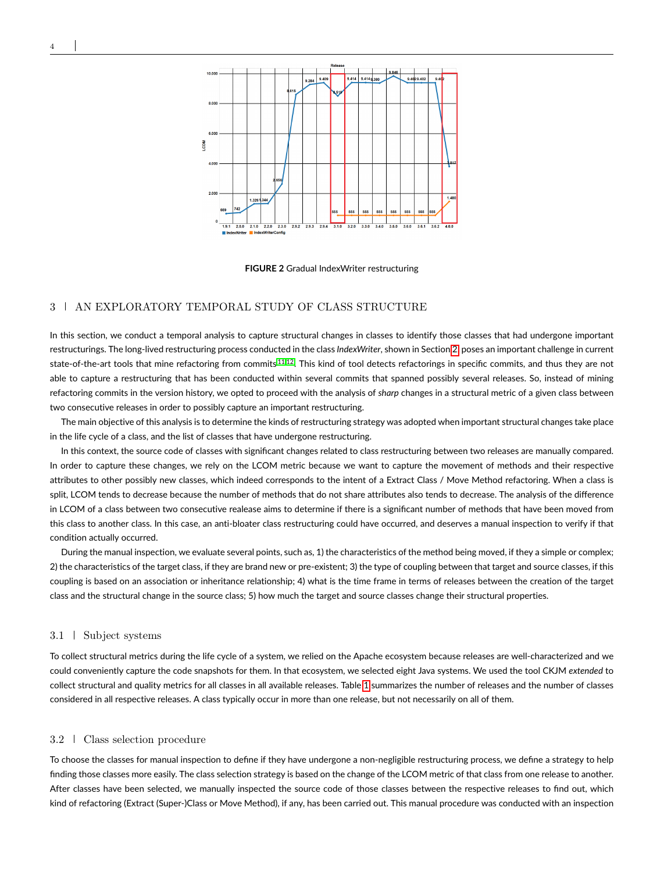<span id="page-3-1"></span>

**FIGURE 2** Gradual IndexWriter restructuring

# <span id="page-3-0"></span>3 AN EXPLORATORY TEMPORAL STUDY OF CLASS STRUCTURE

In this section, we conduct a temporal analysis to capture structural changes in classes to identify those classes that had undergone important restructurings. The long-lived restructuring process conducted in the class *IndexWriter*, shown in Section [2,](#page-1-0) poses an important challenge in current state-of-the-art tools that mine refactoring from commits [11,](#page-17-10)[12](#page-17-11). This kind of tool detects refactorings in specific commits, and thus they are not able to capture a restructuring that has been conducted within several commits that spanned possibly several releases. So, instead of mining refactoring commits in the version history, we opted to proceed with the analysis of *sharp* changes in a structural metric of a given class between two consecutive releases in order to possibly capture an important restructuring.

The main objective of this analysis is to determine the kinds of restructuring strategy was adopted when important structural changes take place in the life cycle of a class, and the list of classes that have undergone restructuring.

In this context, the source code of classes with significant changes related to class restructuring between two releases are manually compared. In order to capture these changes, we rely on the LCOM metric because we want to capture the movement of methods and their respective attributes to other possibly new classes, which indeed corresponds to the intent of a Extract Class / Move Method refactoring. When a class is split, LCOM tends to decrease because the number of methods that do not share attributes also tends to decrease. The analysis of the difference in LCOM of a class between two consecutive realease aims to determine if there is a significant number of methods that have been moved from this class to another class. In this case, an anti-bloater class restructuring could have occurred, and deserves a manual inspection to verify if that condition actually occurred.

During the manual inspection, we evaluate several points, such as, 1) the characteristics of the method being moved, if they a simple or complex; 2) the characteristics of the target class, if they are brand new or pre-existent; 3) the type of coupling between that target and source classes, if this coupling is based on an association or inheritance relationship; 4) what is the time frame in terms of releases between the creation of the target class and the structural change in the source class; 5) how much the target and source classes change their structural properties.

### 3.1 Subject systems

To collect structural metrics during the life cycle of a system, we relied on the Apache ecosystem because releases are well-characterized and we could conveniently capture the code snapshots for them. In that ecosystem, we selected eight Java systems. We used the tool CKJM *extended* to collect structural and quality metrics for all classes in all available releases. Table [1](#page-4-0) summarizes the number of releases and the number of classes considered in all respective releases. A class typically occur in more than one release, but not necessarily on all of them.

# 3.2 Class selection procedure

To choose the classes for manual inspection to define if they have undergone a non-negligible restructuring process, we define a strategy to help finding those classes more easily. The class selection strategy is based on the change of the LCOM metric of that class from one release to another. After classes have been selected, we manually inspected the source code of those classes between the respective releases to find out, which kind of refactoring (Extract (Super-)Class or Move Method), if any, has been carried out. This manual procedure was conducted with an inspection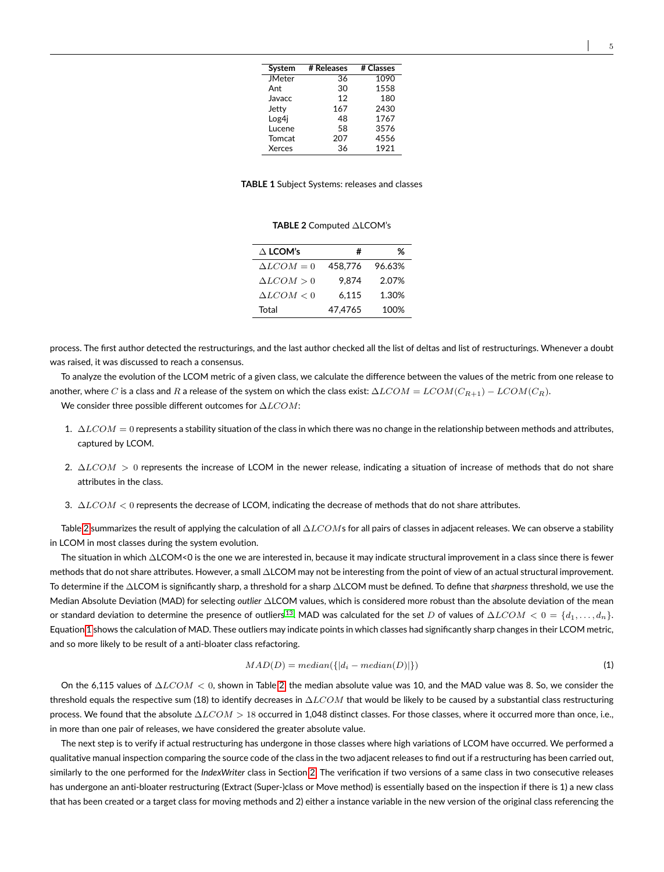<span id="page-4-0"></span>

| System        | # Releases | # Classes |
|---------------|------------|-----------|
| <b>JMeter</b> | 36         | 1090      |
| Ant           | 30         | 1558      |
| Javacc        | 12         | 180       |
| Jetty         | 167        | 2430      |
| Log4j         | 48         | 1767      |
| Lucene        | 58         | 3576      |
| Tomcat        | 207        | 4556      |
| Xerces        | 36         | 1921      |

**TABLE 1** Subject Systems: releases and classes

**TABLE 2** Computed ∆LCOM's

| $\Delta$ LCOM's   | #       | %      |
|-------------------|---------|--------|
| $\Delta LCOM = 0$ | 458.776 | 96.63% |
| $\Delta LCOM > 0$ | 9.874   | 2.07%  |
| $\Delta LCOM < 0$ | 6.115   | 1.30%  |
| Total             | 47.4765 | 100%   |

<span id="page-4-1"></span>process. The first author detected the restructurings, and the last author checked all the list of deltas and list of restructurings. Whenever a doubt was raised, it was discussed to reach a consensus.

To analyze the evolution of the LCOM metric of a given class, we calculate the difference between the values of the metric from one release to another, where C is a class and R a release of the system on which the class exist:  $\Delta LCOM = LCOM(C_{R+1}) - LCOM(C_R)$ . We consider three possible different outcomes for  $\Delta LCOM$ :

- 1.  $ΔLCOM = 0$  represents a stability situation of the class in which there was no change in the relationship between methods and attributes, captured by LCOM.
- 2.  $\Delta LCOM > 0$  represents the increase of LCOM in the newer release, indicating a situation of increase of methods that do not share attributes in the class.
- 3.  $\Delta LCOM < 0$  represents the decrease of LCOM, indicating the decrease of methods that do not share attributes.

Table [2](#page-4-1) summarizes the result of applying the calculation of all  $\Delta LCOMs$  for all pairs of classes in adjacent releases. We can observe a stability in LCOM in most classes during the system evolution.

The situation in which ∆LCOM<0 is the one we are interested in, because it may indicate structural improvement in a class since there is fewer methods that do not share attributes. However, a small ∆LCOM may not be interesting from the point of view of an actual structural improvement. To determine if the ∆LCOM is significantly sharp, a threshold for a sharp ∆LCOM must be defined. To define that *sharpness* threshold, we use the Median Absolute Deviation (MAD) for selecting *outlier* ∆LCOM values, which is considered more robust than the absolute deviation of the mean or standard deviation to determine the presence of outliers <sup>[13](#page-17-12)</sup>. MAD was calculated for the set D of values of  $\Delta LCOM < 0 = \{d_1, \ldots, d_n\}$ . Equation [1](#page-4-2) shows the calculation of MAD. These outliers may indicate points in which classes had significantly sharp changes in their LCOM metric, and so more likely to be result of a anti-bloater class refactoring.

<span id="page-4-2"></span>
$$
MAD(D) = median(\{|d_i - median(D)|\})
$$
\n(1)

On the 6,115 values of  $\Delta LCOM < 0$ , shown in Table [2,](#page-4-1) the median absolute value was 10, and the MAD value was 8. So, we consider the threshold equals the respective sum (18) to identify decreases in  $\Delta LCOM$  that would be likely to be caused by a substantial class restructuring process. We found that the absolute  $\Delta LCOM > 18$  occurred in 1,048 distinct classes. For those classes, where it occurred more than once, i.e., in more than one pair of releases, we have considered the greater absolute value.

The next step is to verify if actual restructuring has undergone in those classes where high variations of LCOM have occurred. We performed a qualitative manual inspection comparing the source code of the class in the two adjacent releases to find out if a restructuring has been carried out, similarly to the one performed for the *IndexWriter* class in Section [2.](#page-1-0) The verification if two versions of a same class in two consecutive releases has undergone an anti-bloater restructuring (Extract (Super-)class or Move method) is essentially based on the inspection if there is 1) a new class that has been created or a target class for moving methods and 2) either a instance variable in the new version of the original class referencing the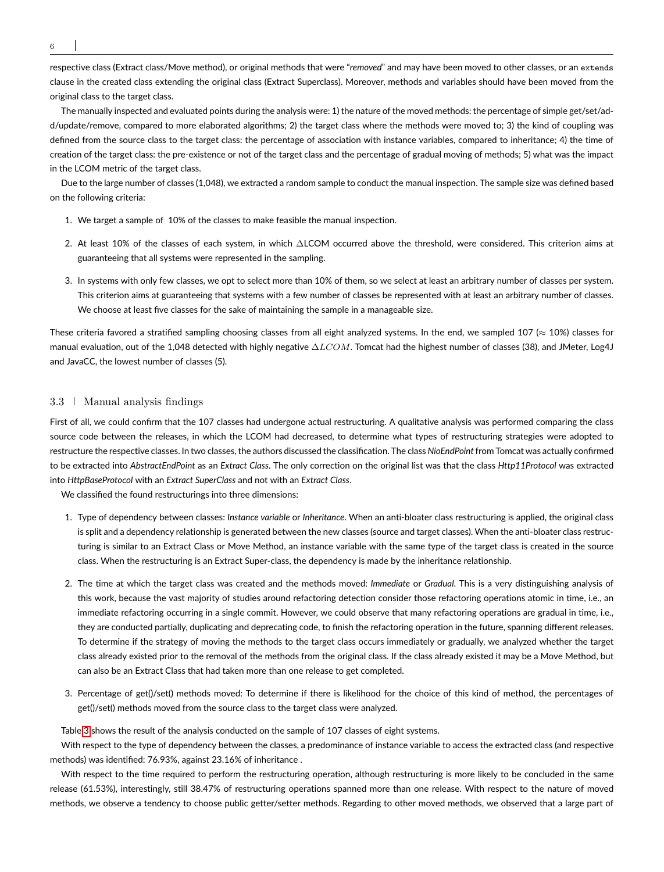6

respective class (Extract class/Move method), or original methods that were "*removed*" and may have been moved to other classes, or an extends clause in the created class extending the original class (Extract Superclass). Moreover, methods and variables should have been moved from the original class to the target class.

The manually inspected and evaluated points during the analysis were: 1) the nature of the moved methods: the percentage of simple get/set/add/update/remove, compared to more elaborated algorithms; 2) the target class where the methods were moved to; 3) the kind of coupling was defined from the source class to the target class: the percentage of association with instance variables, compared to inheritance; 4) the time of creation of the target class: the pre-existence or not of the target class and the percentage of gradual moving of methods; 5) what was the impact in the LCOM metric of the target class.

Due to the large number of classes (1,048), we extracted a random sample to conduct the manual inspection. The sample size was defined based on the following criteria:

- 1. We target a sample of 10% of the classes to make feasible the manual inspection.
- 2. At least 10% of the classes of each system, in which ∆LCOM occurred above the threshold, were considered. This criterion aims at guaranteeing that all systems were represented in the sampling.
- 3. In systems with only few classes, we opt to select more than 10% of them, so we select at least an arbitrary number of classes per system. This criterion aims at guaranteeing that systems with a few number of classes be represented with at least an arbitrary number of classes. We choose at least five classes for the sake of maintaining the sample in a manageable size.

These criteria favored a stratified sampling choosing classes from all eight analyzed systems. In the end, we sampled 107 ( $\approx$  10%) classes for manual evaluation, out of the 1,048 detected with highly negative ∆LCOM. Tomcat had the highest number of classes (38), and JMeter, Log4J and JavaCC, the lowest number of classes (5).

# 3.3 Manual analysis findings

First of all, we could confirm that the 107 classes had undergone actual restructuring. A qualitative analysis was performed comparing the class source code between the releases, in which the LCOM had decreased, to determine what types of restructuring strategies were adopted to restructure the respective classes. In two classes, the authors discussed the classification. The class *NioEndPoint* from Tomcat was actually confirmed to be extracted into *AbstractEndPoint* as an *Extract Class*. The only correction on the original list was that the class *Http11Protocol* was extracted into *HttpBaseProtocol* with an *Extract SuperClass* and not with an *Extract Class*.

We classified the found restructurings into three dimensions:

- 1. Type of dependency between classes: *Instance variable* or *Inheritance*. When an anti-bloater class restructuring is applied, the original class is split and a dependency relationship is generated between the new classes (source and target classes). When the anti-bloater class restructuring is similar to an Extract Class or Move Method, an instance variable with the same type of the target class is created in the source class. When the restructuring is an Extract Super-class, the dependency is made by the inheritance relationship.
- 2. The time at which the target class was created and the methods moved: *Immediate* or *Gradual*. This is a very distinguishing analysis of this work, because the vast majority of studies around refactoring detection consider those refactoring operations atomic in time, i.e., an immediate refactoring occurring in a single commit. However, we could observe that many refactoring operations are gradual in time, i.e., they are conducted partially, duplicating and deprecating code, to finish the refactoring operation in the future, spanning different releases. To determine if the strategy of moving the methods to the target class occurs immediately or gradually, we analyzed whether the target class already existed prior to the removal of the methods from the original class. If the class already existed it may be a Move Method, but can also be an Extract Class that had taken more than one release to get completed.
- 3. Percentage of get()/set() methods moved: To determine if there is likelihood for the choice of this kind of method, the percentages of get()/set() methods moved from the source class to the target class were analyzed.

Table [3](#page-6-0) shows the result of the analysis conducted on the sample of 107 classes of eight systems.

With respect to the type of dependency between the classes, a predominance of instance variable to access the extracted class (and respective methods) was identified: 76.93%, against 23.16% of inheritance .

With respect to the time required to perform the restructuring operation, although restructuring is more likely to be concluded in the same release (61.53%), interestingly, still 38.47% of restructuring operations spanned more than one release. With respect to the nature of moved methods, we observe a tendency to choose public getter/setter methods. Regarding to other moved methods, we observed that a large part of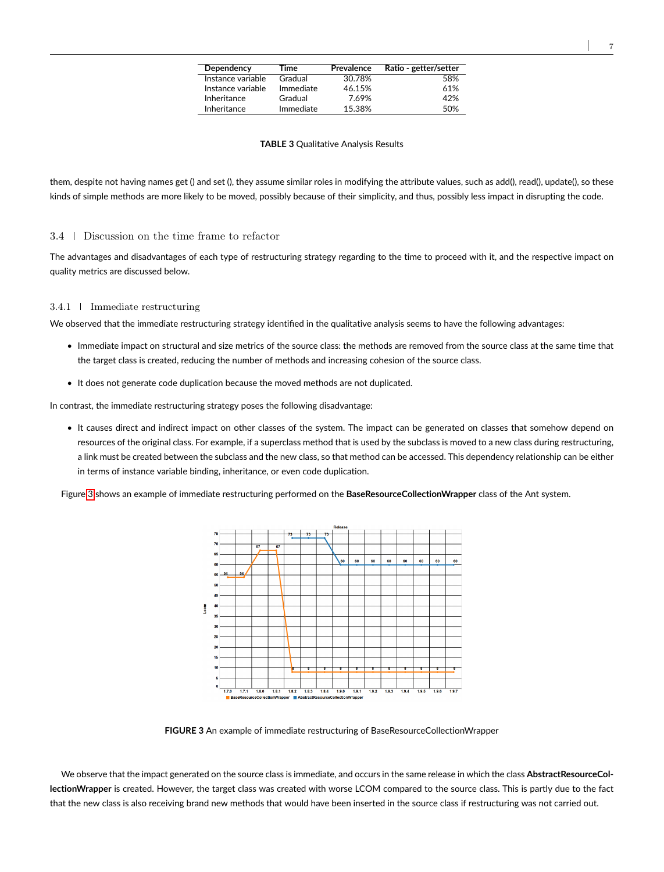| Dependency        | Time      | Prevalence | Ratio - getter/setter |
|-------------------|-----------|------------|-----------------------|
| Instance variable | Gradual   | 30.78%     | 58%                   |
| Instance variable | Immediate | 46.15%     | 61%                   |
| Inheritance       | Gradual   | 7.69%      | 42%                   |
| Inheritance       | Immediate | 15.38%     | 50%                   |

#### **TABLE 3** Qualitative Analysis Results

<span id="page-6-0"></span>them, despite not having names get () and set (), they assume similar roles in modifying the attribute values, such as add(), read(), update(), so these kinds of simple methods are more likely to be moved, possibly because of their simplicity, and thus, possibly less impact in disrupting the code.

### 3.4 Discussion on the time frame to refactor

The advantages and disadvantages of each type of restructuring strategy regarding to the time to proceed with it, and the respective impact on quality metrics are discussed below.

#### 3.4.1 Immediate restructuring

We observed that the immediate restructuring strategy identified in the qualitative analysis seems to have the following advantages:

- Immediate impact on structural and size metrics of the source class: the methods are removed from the source class at the same time that the target class is created, reducing the number of methods and increasing cohesion of the source class.
- It does not generate code duplication because the moved methods are not duplicated.

In contrast, the immediate restructuring strategy poses the following disadvantage:

• It causes direct and indirect impact on other classes of the system. The impact can be generated on classes that somehow depend on resources of the original class. For example, if a superclass method that is used by the subclass is moved to a new class during restructuring, a link must be created between the subclass and the new class, so that method can be accessed. This dependency relationship can be either in terms of instance variable binding, inheritance, or even code duplication.

<span id="page-6-1"></span>Figure [3](#page-6-1) shows an example of immediate restructuring performed on the **BaseResourceCollectionWrapper** class of the Ant system.



**FIGURE 3** An example of immediate restructuring of BaseResourceCollectionWrapper

We observe that the impact generated on the source class is immediate, and occurs in the same release in which the class **AbstractResourceCollectionWrapper** is created. However, the target class was created with worse LCOM compared to the source class. This is partly due to the fact that the new class is also receiving brand new methods that would have been inserted in the source class if restructuring was not carried out.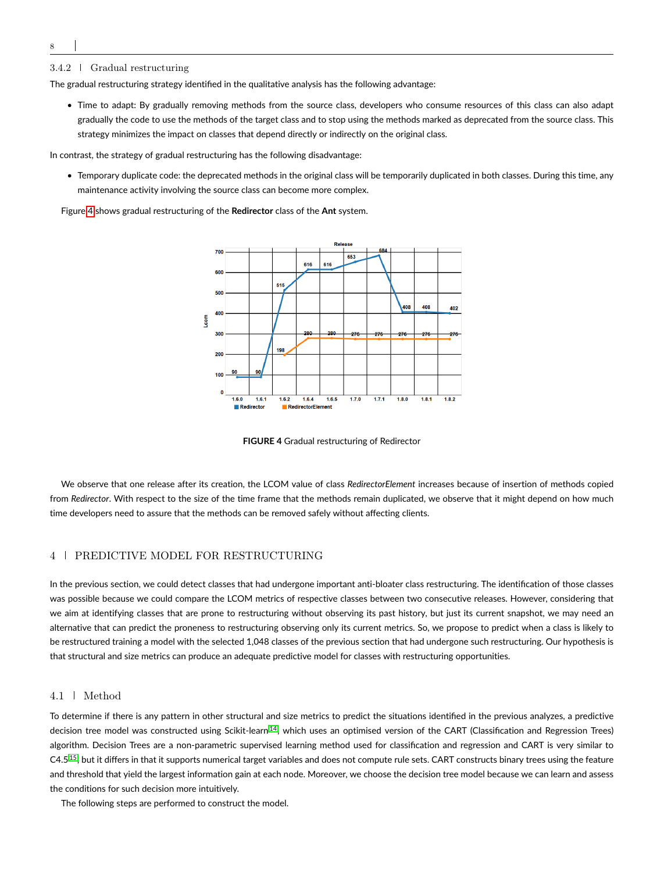# 3.4.2 Gradual restructuring

The gradual restructuring strategy identified in the qualitative analysis has the following advantage:

• Time to adapt: By gradually removing methods from the source class, developers who consume resources of this class can also adapt gradually the code to use the methods of the target class and to stop using the methods marked as deprecated from the source class. This strategy minimizes the impact on classes that depend directly or indirectly on the original class.

In contrast, the strategy of gradual restructuring has the following disadvantage:

• Temporary duplicate code: the deprecated methods in the original class will be temporarily duplicated in both classes. During this time, any maintenance activity involving the source class can become more complex.

<span id="page-7-1"></span>Figure [4](#page-7-1) shows gradual restructuring of the **Redirector** class of the **Ant** system.



**FIGURE 4** Gradual restructuring of Redirector

We observe that one release after its creation, the LCOM value of class *RedirectorElement* increases because of insertion of methods copied from *Redirector*. With respect to the size of the time frame that the methods remain duplicated, we observe that it might depend on how much time developers need to assure that the methods can be removed safely without affecting clients.

# <span id="page-7-0"></span>4 PREDICTIVE MODEL FOR RESTRUCTURING

In the previous section, we could detect classes that had undergone important anti-bloater class restructuring. The identification of those classes was possible because we could compare the LCOM metrics of respective classes between two consecutive releases. However, considering that we aim at identifying classes that are prone to restructuring without observing its past history, but just its current snapshot, we may need an alternative that can predict the proneness to restructuring observing only its current metrics. So, we propose to predict when a class is likely to be restructured training a model with the selected 1,048 classes of the previous section that had undergone such restructuring. Our hypothesis is that structural and size metrics can produce an adequate predictive model for classes with restructuring opportunities.

# 4.1 Method

To determine if there is any pattern in other structural and size metrics to predict the situations identified in the previous analyzes, a predictive decision tree model was constructed using Scikit-learn<sup>[14](#page-17-13)</sup>, which uses an optimised version of the CART (Classification and Regression Trees) algorithm. Decision Trees are a non-parametric supervised learning method used for classification and regression and CART is very similar to C4.5[15](#page-17-14), but it differs in that it supports numerical target variables and does not compute rule sets. CART constructs binary trees using the feature and threshold that yield the largest information gain at each node. Moreover, we choose the decision tree model because we can learn and assess the conditions for such decision more intuitively.

The following steps are performed to construct the model.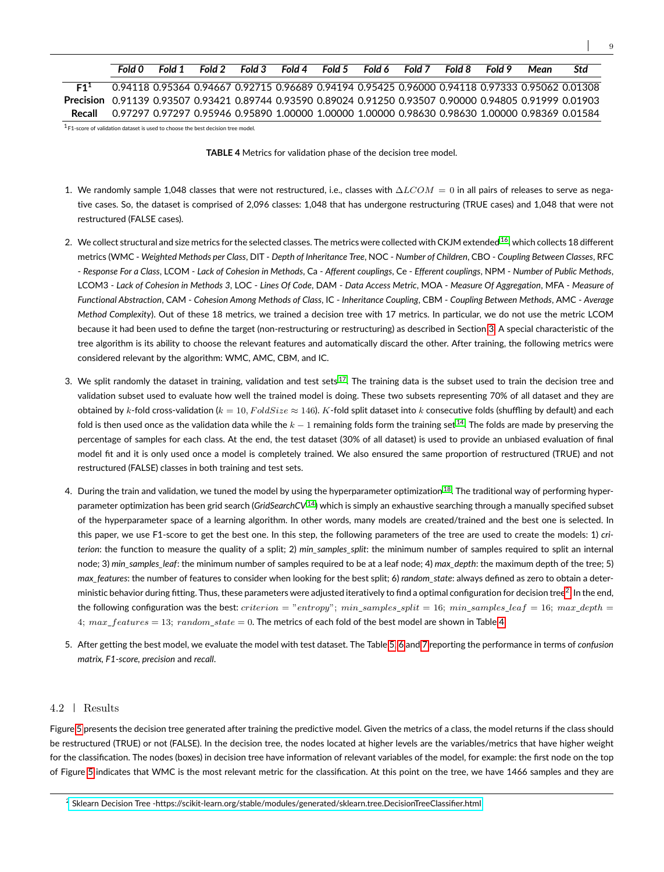# *Fold 0 Fold 1 Fold 2 Fold 3 Fold 4 Fold 5 Fold 6 Fold 7 Fold 8 Fold 9 Mean Std*

<span id="page-8-0"></span>**F1<sup>1</sup>** 0.94118 0.95364 0.94667 0.92715 0.96689 0.94194 0.95425 0.96000 0.94118 0.97333 0.95062 0.01308 **Precision** 0.91139 0.93507 0.93421 0.89744 0.93590 0.89024 0.91250 0.93507 0.90000 0.94805 0.91999 0.01903 **Recall** 0.97297 0.97297 0.95946 0.95890 1.00000 1.00000 1.00000 0.98630 0.98630 1.00000 0.98369 0.01584

 $1$  F1-score of validation dataset is used to choose the best decision tree model.

**TABLE 4** Metrics for validation phase of the decision tree model.

- 1. We randomly sample 1,048 classes that were not restructured, i.e., classes with  $\Delta LCOM = 0$  in all pairs of releases to serve as negative cases. So, the dataset is comprised of 2,096 classes: 1,048 that has undergone restructuring (TRUE cases) and 1,048 that were not restructured (FALSE cases).
- 2. We collect structural and size metrics for the selected classes. The metrics were collected with CKJM extended <sup>[16](#page-17-15)</sup>, which collects 18 different metrics (WMC - *Weighted Methods per Class*, DIT - *Depth of Inheritance Tree*, NOC - *Number of Children*, CBO - *Coupling Between Classes*, RFC - *Response For a Class*, LCOM - *Lack of Cohesion in Methods*, Ca - *Afferent couplings*, Ce - *Efferent couplings*, NPM - *Number of Public Methods*, LCOM3 - *Lack of Cohesion in Methods 3*, LOC - *Lines Of Code*, DAM - *Data Access Metric*, MOA - *Measure Of Aggregation*, MFA - *Measure of Functional Abstraction*, CAM - *Cohesion Among Methods of Class*, IC - *Inheritance Coupling*, CBM - *Coupling Between Methods*, AMC - *Average Method Complexity*). Out of these 18 metrics, we trained a decision tree with 17 metrics. In particular, we do not use the metric LCOM because it had been used to define the target (non-restructuring or restructuring) as described in Section [3.](#page-3-0) A special characteristic of the tree algorithm is its ability to choose the relevant features and automatically discard the other. After training, the following metrics were considered relevant by the algorithm: WMC, AMC, CBM, and IC.
- 3. We split randomly the dataset in training, validation and test sets  $17$ . The training data is the subset used to train the decision tree and validation subset used to evaluate how well the trained model is doing. These two subsets representing 70% of all dataset and they are obtained by k-fold cross-validation  $(k = 10, FoldSize \approx 146)$ . K-fold split dataset into k consecutive folds (shuffling by default) and each fold is then used once as the validation data while the  $k - 1$  remaining folds form the training set <sup>[14](#page-17-13)</sup>. The folds are made by preserving the percentage of samples for each class. At the end, the test dataset (30% of all dataset) is used to provide an unbiased evaluation of final model fit and it is only used once a model is completely trained. We also ensured the same proportion of restructured (TRUE) and not restructured (FALSE) classes in both training and test sets.
- 4. During the train and validation, we tuned the model by using the hyperparameter optimization  $^{18}$  $^{18}$  $^{18}$ . The traditional way of performing hyperparameter optimization has been grid search (*GridSearchCV* [14](#page-17-13)) which is simply an exhaustive searching through a manually specified subset of the hyperparameter space of a learning algorithm. In other words, many models are created/trained and the best one is selected. In this paper, we use F1-score to get the best one. In this step, the following parameters of the tree are used to create the models: 1) *criterion*: the function to measure the quality of a split; 2) *min\_samples\_split*: the minimum number of samples required to split an internal node; 3) *min\_samples\_leaf*: the minimum number of samples required to be at a leaf node; 4) *max\_depth*: the maximum depth of the tree; 5) *max features*: the number of features to consider when looking for the best split; 6) *random* state: always defined as zero to obtain a deter-ministic behavior during fitting. Thus, these parameters were adjusted iteratively to find a optimal configuration for decision tree<sup>[2](#page-0-0)</sup>. In the end, the following configuration was the best: criterion = "entropy";  $min\_samples\_split = 16$ ;  $min\_samples\_leaf = 16$ ;  $max\_depth =$ 4; max  $features = 13$ ; random  $state = 0$ . The metrics of each fold of the best model are shown in Table [4.](#page-8-0)
- 5. After getting the best model, we evaluate the model with test dataset. The Table [5,](#page-10-1) [6](#page-10-2) and [7](#page-10-3) reporting the performance in terms of *confusion matrix, F1-score, precision* and *recall*.

# 4.2 Results

Figure [5](#page-9-0) presents the decision tree generated after training the predictive model. Given the metrics of a class, the model returns if the class should be restructured (TRUE) or not (FALSE). In the decision tree, the nodes located at higher levels are the variables/metrics that have higher weight for the classification. The nodes (boxes) in decision tree have information of relevant variables of the model, for example: the first node on the top of Figure [5](#page-9-0) indicates that WMC is the most relevant metric for the classification. At this point on the tree, we have 1466 samples and they are

<sup>2</sup> [Sklearn Decision Tree -https://scikit-learn.org/stable/modules/generated/sklearn.tree.DecisionTreeClassifier.html](https://scikit-learn.org/stable/modules/generated/sklearn.tree.DecisionTreeClassifier.html)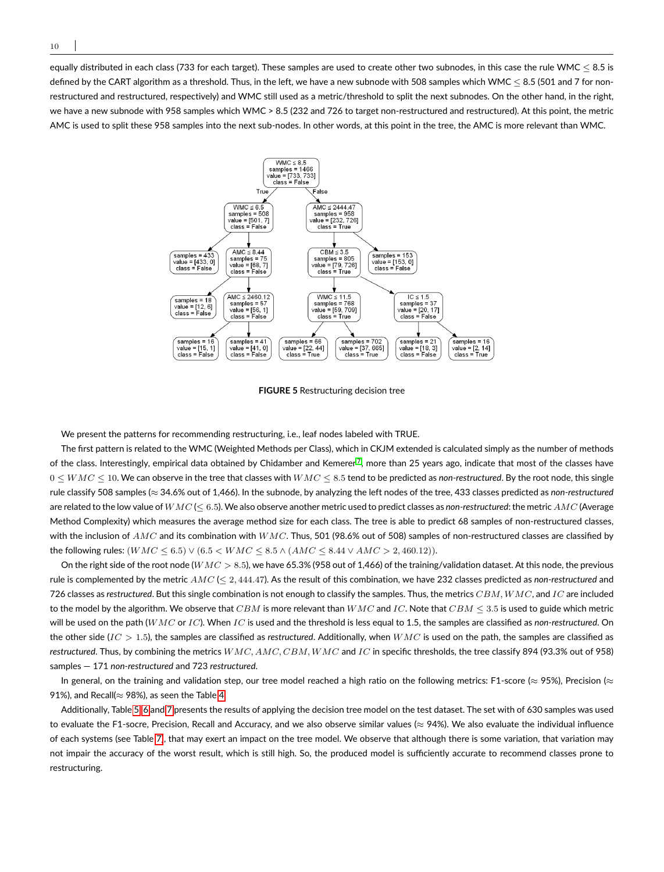<span id="page-9-0"></span>equally distributed in each class (733 for each target). These samples are used to create other two subnodes, in this case the rule WMC  $\leq$  8.5 is defined by the CART algorithm as a threshold. Thus, in the left, we have a new subnode with 508 samples which WMC < 8.5 (501 and 7 for nonrestructured and restructured, respectively) and WMC still used as a metric/threshold to split the next subnodes. On the other hand, in the right, we have a new subnode with 958 samples which WMC > 8.5 (232 and 726 to target non-restructured and restructured). At this point, the metric AMC is used to split these 958 samples into the next sub-nodes. In other words, at this point in the tree, the AMC is more relevant than WMC.



**FIGURE 5** Restructuring decision tree

We present the patterns for recommending restructuring, i.e., leaf nodes labeled with TRUE.

The first pattern is related to the WMC (Weighted Methods per Class), which in CKJM extended is calculated simply as the number of methods of the class. Interestingly, empirical data obtained by Chidamber and Kemerer<sup>[7](#page-17-6)</sup>, more than 25 years ago, indicate that most of the classes have  $0 \leq WMC \leq 10$ . We can observe in the tree that classes with  $WMC \leq 8.5$  tend to be predicted as *non-restructured*. By the root node, this single rule classify 508 samples (≈ 34.6% out of 1,466). In the subnode, by analyzing the left nodes of the tree, 433 classes predicted as *non-restructured* are related to the low value of WMC (≤ 6.5). We also observe another metric used to predict classes as *non-restructured*: the metric AMC (Average Method Complexity) which measures the average method size for each class. The tree is able to predict 68 samples of non-restructured classes, with the inclusion of  $AMC$  and its combination with  $WMC$ . Thus, 501 (98.6% out of 508) samples of non-restructured classes are classified by the following rules:  $(WMC \le 6.5) \vee (6.5 \lt WMC \le 8.5 \wedge (AMC \le 8.44 \vee AMC > 2,460.12)).$ 

On the right side of the root node ( $WMC > 8.5$ ), we have 65.3% (958 out of 1,466) of the training/validation dataset. At this node, the previous rule is complemented by the metric AMC (≤ 2, 444.47). As the result of this combination, we have 232 classes predicted as *non-restructured* and 726 classes as *restructured*. But this single combination is not enough to classify the samples. Thus, the metrics CBM, WMC, and IC are included to the model by the algorithm. We observe that CBM is more relevant than  $WMC$  and IC. Note that  $CBM \leq 3.5$  is used to guide which metric will be used on the path (WMC or IC). When IC is used and the threshold is less equal to 1.5, the samples are classified as *non-restructured*. On the other side (IC > 1.5), the samples are classified as *restructured*. Additionally, when WMC is used on the path, the samples are classified as *restructured*. Thus, by combining the metrics WMC, AMC, CBM, WMC and IC in specific thresholds, the tree classify 894 (93.3% out of 958) samples — 171 *non-restructured* and 723 *restructured*.

In general, on the training and validation step, our tree model reached a high ratio on the following metrics: F1-score ( $\approx$  95%), Precision ( $\approx$ 91%), and Recall( $\approx$  98%), as seen the Table [4.](#page-8-0)

Additionally, Table [5,](#page-10-1) [6](#page-10-2) and [7](#page-10-3) presents the results of applying the decision tree model on the test dataset. The set with of 630 samples was used to evaluate the F1-socre, Precision, Recall and Accuracy, and we also observe similar values ( $\approx$  94%). We also evaluate the individual influence of each systems (see Table [7\)](#page-10-3), that may exert an impact on the tree model. We observe that although there is some variation, that variation may not impair the accuracy of the worst result, which is still high. So, the produced model is sufficiently accurate to recommend classes prone to restructuring.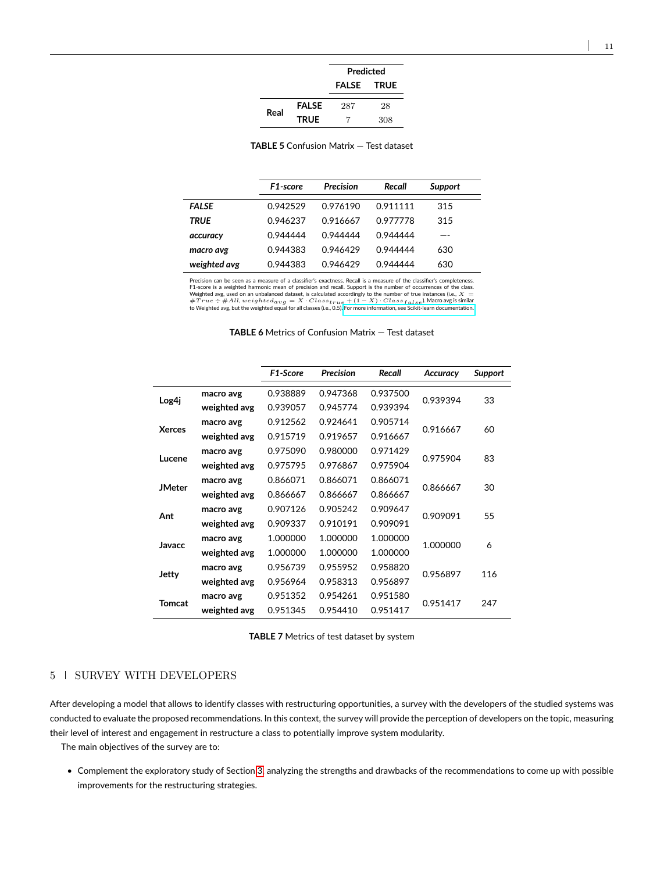|      |              | Predicted    |             |  |  |
|------|--------------|--------------|-------------|--|--|
|      |              | <b>FALSE</b> | <b>TRUE</b> |  |  |
|      | <b>FALSE</b> | 287          | 28          |  |  |
| Real | <b>TRUE</b>  |              | 308         |  |  |

 $\overline{a}$ 

**TABLE 5** Confusion Matrix — Test dataset

<span id="page-10-2"></span><span id="page-10-1"></span>

|              | F1-score | Precision | Recall   | <b>Support</b> |  |
|--------------|----------|-----------|----------|----------------|--|
| <b>FALSE</b> | 0.942529 | 0.976190  | 0.911111 | 315            |  |
| TRUE         | 0.946237 | 0.916667  | 0.977778 | 315            |  |
| accuracy     | 0.944444 | 0.944444  | 0.944444 |                |  |
| macro avg    | 0.944383 | 0.946429  | 0.944444 | 630            |  |
| weighted avg | 0.944383 | 0.946429  | 0.944444 | 630            |  |

Precision can be seen as a measure of a classifier's exactness. Recall is a measure of the classifier's completeness<br>F1-score is a weighted harmonic mean of precision and recall. Support is the number of occurrences of th

| <b>TABLE 6</b> Metrics of Confusion Matrix — Test dataset |  |
|-----------------------------------------------------------|--|
|-----------------------------------------------------------|--|

<span id="page-10-3"></span>

|               |              | F1-Score | <b>Precision</b> | Recall   | Accuracy | <b>Support</b> |
|---------------|--------------|----------|------------------|----------|----------|----------------|
| Log4j         | macro avg    | 0.938889 | 0.947368         | 0.937500 | 0.939394 | 33             |
|               | weighted avg | 0.939057 | 0.945774         | 0.939394 |          |                |
| <b>Xerces</b> | macro avg    | 0.912562 | 0.924641         | 0.905714 | 0.916667 | 60             |
|               | weighted avg | 0.915719 | 0.919657         | 0.916667 |          |                |
| Lucene        | macro avg    | 0.975090 | 0.980000         | 0.971429 | 0.975904 | 83             |
|               | weighted avg | 0.975795 | 0.976867         | 0.975904 |          |                |
| <b>JMeter</b> | macro avg    | 0.866071 | 0.866071         | 0.866071 | 0.866667 | 30             |
|               | weighted avg | 0.866667 | 0.866667         | 0.866667 |          |                |
| Ant           | macro avg    | 0.907126 | 0.905242         | 0.909647 | 0.909091 | 55             |
|               | weighted avg | 0.909337 | 0.910191         | 0.909091 |          |                |
| Javacc        | macro avg    | 1.000000 | 1.000000         | 1.000000 | 1.000000 | 6              |
|               | weighted avg | 1.000000 | 1.000000         | 1.000000 |          |                |
| Jetty         | macro avg    | 0.956739 | 0.955952         | 0.958820 | 0.956897 | 116            |
|               | weighted avg | 0.956964 | 0.958313         | 0.956897 |          |                |
| <b>Tomcat</b> | macro avg    | 0.951352 | 0.954261         | 0.951580 | 0.951417 | 247            |
|               | weighted avg | 0.951345 | 0.954410         | 0.951417 |          |                |

**TABLE 7** Metrics of test dataset by system

# <span id="page-10-0"></span>5 SURVEY WITH DEVELOPERS

After developing a model that allows to identify classes with restructuring opportunities, a survey with the developers of the studied systems was conducted to evaluate the proposed recommendations. In this context, the survey will provide the perception of developers on the topic, measuring their level of interest and engagement in restructure a class to potentially improve system modularity.

The main objectives of the survey are to:

• Complement the exploratory study of Section [3,](#page-3-0) analyzing the strengths and drawbacks of the recommendations to come up with possible improvements for the restructuring strategies.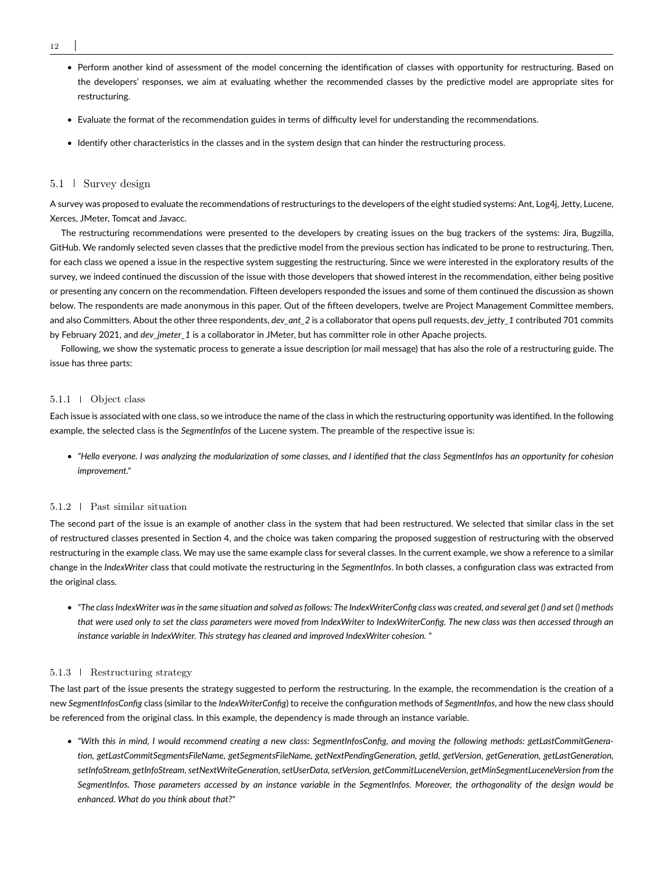- 12
	- Perform another kind of assessment of the model concerning the identification of classes with opportunity for restructuring. Based on the developers' responses, we aim at evaluating whether the recommended classes by the predictive model are appropriate sites for restructuring.
	- Evaluate the format of the recommendation guides in terms of difficulty level for understanding the recommendations.
	- Identify other characteristics in the classes and in the system design that can hinder the restructuring process.

# 5.1 Survey design

A survey was proposed to evaluate the recommendations of restructurings to the developers of the eight studied systems: Ant, Log4j, Jetty, Lucene, Xerces, JMeter, Tomcat and Javacc.

The restructuring recommendations were presented to the developers by creating issues on the bug trackers of the systems: Jira, Bugzilla, GitHub. We randomly selected seven classes that the predictive model from the previous section has indicated to be prone to restructuring. Then, for each class we opened a issue in the respective system suggesting the restructuring. Since we were interested in the exploratory results of the survey, we indeed continued the discussion of the issue with those developers that showed interest in the recommendation, either being positive or presenting any concern on the recommendation. Fifteen developers responded the issues and some of them continued the discussion as shown below. The respondents are made anonymous in this paper. Out of the fifteen developers, twelve are Project Management Committee members, and also Committers. About the other three respondents, *dev\_ant\_2* is a collaborator that opens pull requests, *dev\_jetty\_1* contributed 701 commits by February 2021, and *dev* imeter 1 is a collaborator in JMeter, but has committer role in other Apache projects.

Following, we show the systematic process to generate a issue description (or mail message) that has also the role of a restructuring guide. The issue has three parts:

### 5.1.1 Object class

Each issue is associated with one class, so we introduce the name of the class in which the restructuring opportunity was identified. In the following example, the selected class is the *SegmentInfos* of the Lucene system. The preamble of the respective issue is:

• *"Hello everyone. I was analyzing the modularization of some classes, and I identified that the class SegmentInfos has an opportunity for cohesion improvement."*

# 5.1.2 Past similar situation

The second part of the issue is an example of another class in the system that had been restructured. We selected that similar class in the set of restructured classes presented in Section 4, and the choice was taken comparing the proposed suggestion of restructuring with the observed restructuring in the example class. We may use the same example class for several classes. In the current example, we show a reference to a similar change in the *IndexWriter* class that could motivate the restructuring in the *SegmentInfos*. In both classes, a configuration class was extracted from the original class.

• *"The class IndexWriter was in the same situation and solved as follows: The IndexWriterConfig class was created, and several get () and set () methods that were used only to set the class parameters were moved from IndexWriter to IndexWriterConfig. The new class was then accessed through an instance variable in IndexWriter. This strategy has cleaned and improved IndexWriter cohesion. "*

### 5.1.3 Restructuring strategy

The last part of the issue presents the strategy suggested to perform the restructuring. In the example, the recommendation is the creation of a new *SegmentInfosConfig* class (similar to the *IndexWriterConfig*) to receive the configuration methods of *SegmentInfos*, and how the new class should be referenced from the original class. In this example, the dependency is made through an instance variable.

• *"With this in mind, I would recommend creating a new class: SegmentInfosConfig, and moving the following methods: getLastCommitGeneration, getLastCommitSegmentsFileName, getSegmentsFileName, getNextPendingGeneration, getId, getVersion, getGeneration, getLastGeneration, setInfoStream, getInfoStream, setNextWriteGeneration, setUserData, setVersion, getCommitLuceneVersion, getMinSegmentLuceneVersion from the SegmentInfos. Those parameters accessed by an instance variable in the SegmentInfos. Moreover, the orthogonality of the design would be enhanced. What do you think about that?"*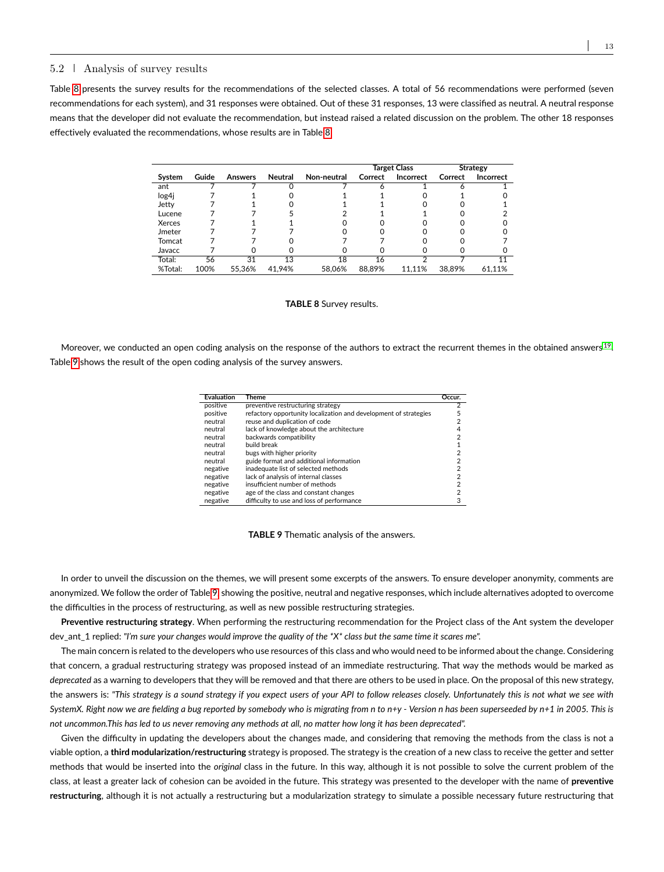### 5.2 Analysis of survey results

<span id="page-12-0"></span>Table [8](#page-12-0) presents the survey results for the recommendations of the selected classes. A total of 56 recommendations were performed (seven recommendations for each system), and 31 responses were obtained. Out of these 31 responses, 13 were classified as neutral. A neutral response means that the developer did not evaluate the recommendation, but instead raised a related discussion on the problem. The other 18 responses effectively evaluated the recommendations, whose results are in Table [8.](#page-12-0)

|         |       |         |         |             | <b>Target Class</b> |                  | <b>Strategy</b> |                  |
|---------|-------|---------|---------|-------------|---------------------|------------------|-----------------|------------------|
| System  | Guide | Answers | Neutral | Non-neutral | Correct             | <b>Incorrect</b> | Correct         | <b>Incorrect</b> |
| ant     |       |         |         |             |                     |                  |                 |                  |
| log4j   |       |         |         |             |                     |                  |                 |                  |
| Jetty   |       |         |         |             |                     |                  |                 |                  |
| Lucene  |       |         |         |             |                     |                  |                 |                  |
| Xerces  |       |         |         |             |                     |                  |                 |                  |
| Jmeter  |       |         |         |             |                     |                  |                 |                  |
| Tomcat  |       |         |         |             |                     |                  |                 |                  |
| Javacc  |       |         |         |             |                     |                  |                 |                  |
| Total:  | 56    | 31      | 13      | 18          | 16                  |                  |                 |                  |
| %Total: | 100%  | 55.36%  | 41.94%  | 58.06%      | 88.89%              | 11.11%           | 38.89%          | 61.11%           |

#### **TABLE 8** Survey results.

<span id="page-12-1"></span>Moreover, we conducted an open coding analysis on the response of the authors to extract the recurrent themes in the obtained answers  $^{19}$  $^{19}$  $^{19}$ . Table [9](#page-12-1) shows the result of the open coding analysis of the survey answers.

| Evaluation | Theme                                                            | Occur.         |
|------------|------------------------------------------------------------------|----------------|
| positive   | preventive restructuring strategy                                | 2              |
| positive   | refactory opportunity localization and development of strategies | 5              |
| neutral    | reuse and duplication of code                                    | $\overline{2}$ |
| neutral    | lack of knowledge about the architecture                         | 4              |
| neutral    | backwards compatibility                                          | 2              |
| neutral    | build break                                                      |                |
| neutral    | bugs with higher priority                                        | 2              |
| neutral    | guide format and additional information                          | 2              |
| negative   | inadequate list of selected methods                              | $\overline{2}$ |
| negative   | lack of analysis of internal classes                             | 2              |
| negative   | insufficient number of methods                                   | $\overline{2}$ |
| negative   | age of the class and constant changes                            | 2              |
| negative   | difficulty to use and loss of performance                        | 3              |

**TABLE 9** Thematic analysis of the answers.

In order to unveil the discussion on the themes, we will present some excerpts of the answers. To ensure developer anonymity, comments are anonymized. We follow the order of Table [9,](#page-12-1) showing the positive, neutral and negative responses, which include alternatives adopted to overcome the difficulties in the process of restructuring, as well as new possible restructuring strategies.

**Preventive restructuring strategy**. When performing the restructuring recommendation for the Project class of the Ant system the developer dev\_ant\_1 replied: *"I'm sure your changes would improve the quality of the \*X\* class but the same time it scares me".*

The main concern is related to the developers who use resources of this class and who would need to be informed about the change. Considering that concern, a gradual restructuring strategy was proposed instead of an immediate restructuring. That way the methods would be marked as *deprecated* as a warning to developers that they will be removed and that there are others to be used in place. On the proposal of this new strategy, the answers is: *"This strategy is a sound strategy if you expect users of your API to follow releases closely. Unfortunately this is not what we see with SystemX. Right now we are fielding a bug reported by somebody who is migrating from n to n+y - Version n has been superseeded by n+1 in 2005. This is not uncommon.This has led to us never removing any methods at all, no matter how long it has been deprecated".*

Given the difficulty in updating the developers about the changes made, and considering that removing the methods from the class is not a viable option, a **third modularization/restructuring** strategy is proposed. The strategy is the creation of a new class to receive the getter and setter methods that would be inserted into the *original* class in the future. In this way, although it is not possible to solve the current problem of the class, at least a greater lack of cohesion can be avoided in the future. This strategy was presented to the developer with the name of **preventive restructuring**, although it is not actually a restructuring but a modularization strategy to simulate a possible necessary future restructuring that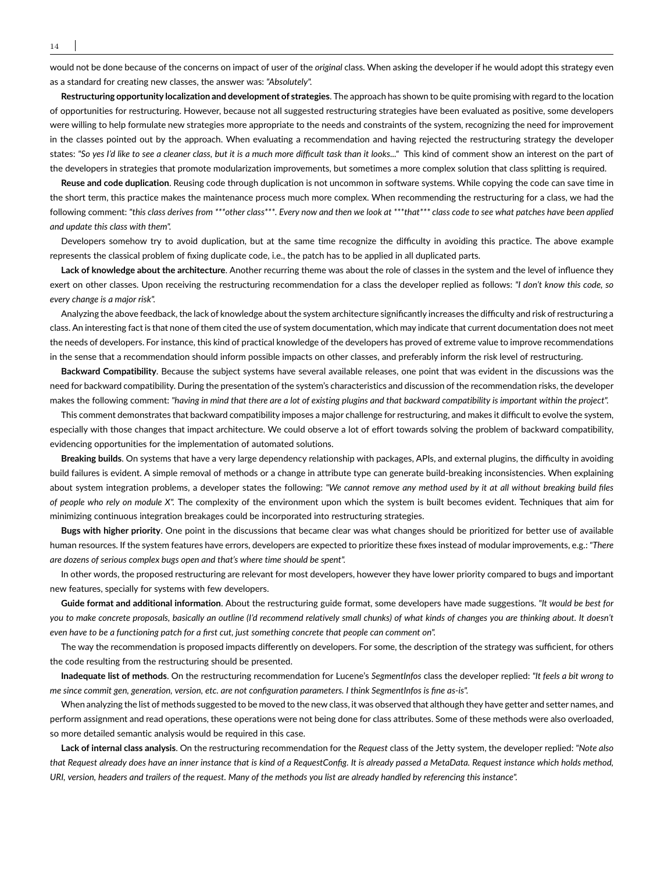would not be done because of the concerns on impact of user of the *original* class. When asking the developer if he would adopt this strategy even as a standard for creating new classes, the answer was: *"Absolutely".*

**Restructuring opportunity localization and development of strategies**. The approach has shown to be quite promising with regard to the location of opportunities for restructuring. However, because not all suggested restructuring strategies have been evaluated as positive, some developers were willing to help formulate new strategies more appropriate to the needs and constraints of the system, recognizing the need for improvement in the classes pointed out by the approach. When evaluating a recommendation and having rejected the restructuring strategy the developer states: *"So yes I'd like to see a cleaner class, but it is a much more difficult task than it looks..."* This kind of comment show an interest on the part of the developers in strategies that promote modularization improvements, but sometimes a more complex solution that class splitting is required.

**Reuse and code duplication**. Reusing code through duplication is not uncommon in software systems. While copying the code can save time in the short term, this practice makes the maintenance process much more complex. When recommending the restructuring for a class, we had the following comment: *"this class derives from \*\*\*other class\*\*\*. Every now and then we look at \*\*\*that\*\*\* class code to see what patches have been applied and update this class with them".*

Developers somehow try to avoid duplication, but at the same time recognize the difficulty in avoiding this practice. The above example represents the classical problem of fixing duplicate code, i.e., the patch has to be applied in all duplicated parts.

**Lack of knowledge about the architecture**. Another recurring theme was about the role of classes in the system and the level of influence they exert on other classes. Upon receiving the restructuring recommendation for a class the developer replied as follows: *"I don't know this code, so every change is a major risk".*

Analyzing the above feedback, the lack of knowledge about the system architecture significantly increases the difficulty and risk of restructuring a class. An interesting fact is that none of them cited the use of system documentation, which may indicate that current documentation does not meet the needs of developers. For instance, this kind of practical knowledge of the developers has proved of extreme value to improve recommendations in the sense that a recommendation should inform possible impacts on other classes, and preferably inform the risk level of restructuring.

**Backward Compatibility**. Because the subject systems have several available releases, one point that was evident in the discussions was the need for backward compatibility. During the presentation of the system's characteristics and discussion of the recommendation risks, the developer makes the following comment: *"having in mind that there are a lot of existing plugins and that backward compatibility is important within the project".*

This comment demonstrates that backward compatibility imposes a major challenge for restructuring, and makes it difficult to evolve the system, especially with those changes that impact architecture. We could observe a lot of effort towards solving the problem of backward compatibility, evidencing opportunities for the implementation of automated solutions.

**Breaking builds**. On systems that have a very large dependency relationship with packages, APIs, and external plugins, the difficulty in avoiding build failures is evident. A simple removal of methods or a change in attribute type can generate build-breaking inconsistencies. When explaining about system integration problems, a developer states the following: *"We cannot remove any method used by it at all without breaking build files of people who rely on module X".* The complexity of the environment upon which the system is built becomes evident. Techniques that aim for minimizing continuous integration breakages could be incorporated into restructuring strategies.

**Bugs with higher priority**. One point in the discussions that became clear was what changes should be prioritized for better use of available human resources. If the system features have errors, developers are expected to prioritize these fixes instead of modular improvements, e.g.: *"There are dozens of serious complex bugs open and that's where time should be spent".*

In other words, the proposed restructuring are relevant for most developers, however they have lower priority compared to bugs and important new features, specially for systems with few developers.

**Guide format and additional information**. About the restructuring guide format, some developers have made suggestions. *"It would be best for you to make concrete proposals, basically an outline (I'd recommend relatively small chunks) of what kinds of changes you are thinking about. It doesn't even have to be a functioning patch for a first cut, just something concrete that people can comment on".*

The way the recommendation is proposed impacts differently on developers. For some, the description of the strategy was sufficient, for others the code resulting from the restructuring should be presented.

**Inadequate list of methods**. On the restructuring recommendation for Lucene's *SegmentInfos* class the developer replied: *"It feels a bit wrong to me since commit gen, generation, version, etc. are not configuration parameters. I think SegmentInfos is fine as-is".*

When analyzing the list of methods suggested to be moved to the new class, it was observed that although they have getter and setter names, and perform assignment and read operations, these operations were not being done for class attributes. Some of these methods were also overloaded, so more detailed semantic analysis would be required in this case.

**Lack of internal class analysis**. On the restructuring recommendation for the *Request* class of the Jetty system, the developer replied: *"Note also that Request already does have an inner instance that is kind of a RequestConfig. It is already passed a MetaData. Request instance which holds method, URI, version, headers and trailers of the request. Many of the methods you list are already handled by referencing this instance".*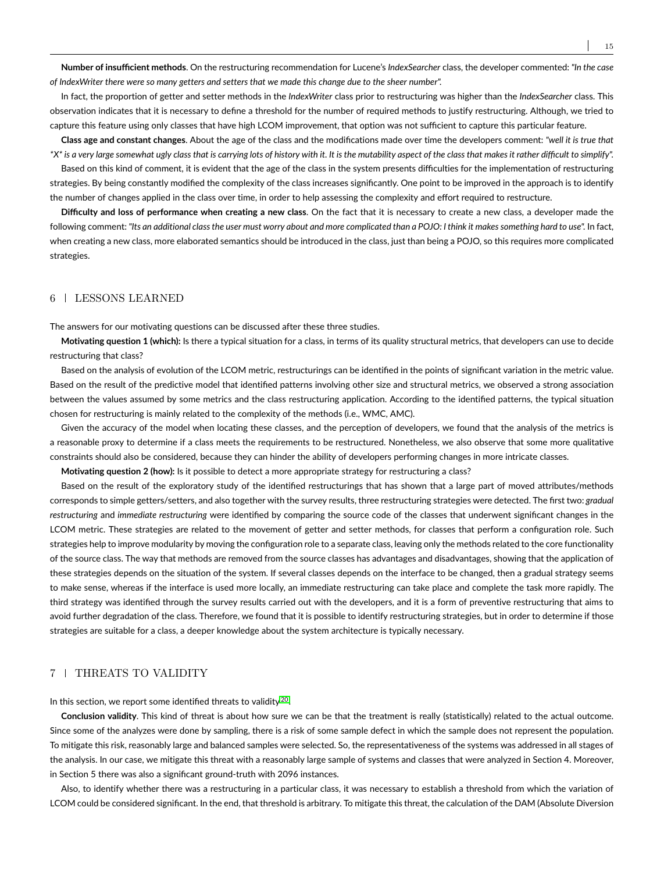**Number of insufficient methods**. On the restructuring recommendation for Lucene's *IndexSearcher* class, the developer commented: *"In the case of IndexWriter there were so many getters and setters that we made this change due to the sheer number".*

In fact, the proportion of getter and setter methods in the *IndexWriter* class prior to restructuring was higher than the *IndexSearcher* class. This observation indicates that it is necessary to define a threshold for the number of required methods to justify restructuring. Although, we tried to capture this feature using only classes that have high LCOM improvement, that option was not sufficient to capture this particular feature.

**Class age and constant changes**. About the age of the class and the modifications made over time the developers comment: *"well it is true that \*X\* is a very large somewhat ugly class that is carrying lots of history with it. It is the mutability aspect of the class that makes it rather difficult to simplify".*

Based on this kind of comment, it is evident that the age of the class in the system presents difficulties for the implementation of restructuring strategies. By being constantly modified the complexity of the class increases significantly. One point to be improved in the approach is to identify the number of changes applied in the class over time, in order to help assessing the complexity and effort required to restructure.

**Difficulty and loss of performance when creating a new class**. On the fact that it is necessary to create a new class, a developer made the following comment: *"Its an additional class the user must worry about and more complicated than a POJO: I think it makes something hard to use".* In fact, when creating a new class, more elaborated semantics should be introduced in the class, just than being a POJO, so this requires more complicated strategies.

# <span id="page-14-0"></span>6 LESSONS LEARNED

The answers for our motivating questions can be discussed after these three studies.

**Motivating question 1 (which):** Is there a typical situation for a class, in terms of its quality structural metrics, that developers can use to decide restructuring that class?

Based on the analysis of evolution of the LCOM metric, restructurings can be identified in the points of significant variation in the metric value. Based on the result of the predictive model that identified patterns involving other size and structural metrics, we observed a strong association between the values assumed by some metrics and the class restructuring application. According to the identified patterns, the typical situation chosen for restructuring is mainly related to the complexity of the methods (i.e., WMC, AMC).

Given the accuracy of the model when locating these classes, and the perception of developers, we found that the analysis of the metrics is a reasonable proxy to determine if a class meets the requirements to be restructured. Nonetheless, we also observe that some more qualitative constraints should also be considered, because they can hinder the ability of developers performing changes in more intricate classes.

**Motivating question 2 (how):** Is it possible to detect a more appropriate strategy for restructuring a class?

Based on the result of the exploratory study of the identified restructurings that has shown that a large part of moved attributes/methods corresponds to simple getters/setters, and also together with the survey results, three restructuring strategies were detected. The first two: *gradual restructuring* and *immediate restructuring* were identified by comparing the source code of the classes that underwent significant changes in the LCOM metric. These strategies are related to the movement of getter and setter methods, for classes that perform a configuration role. Such strategies help to improve modularity by moving the configuration role to a separate class, leaving only the methods related to the core functionality of the source class. The way that methods are removed from the source classes has advantages and disadvantages, showing that the application of these strategies depends on the situation of the system. If several classes depends on the interface to be changed, then a gradual strategy seems to make sense, whereas if the interface is used more locally, an immediate restructuring can take place and complete the task more rapidly. The third strategy was identified through the survey results carried out with the developers, and it is a form of preventive restructuring that aims to avoid further degradation of the class. Therefore, we found that it is possible to identify restructuring strategies, but in order to determine if those strategies are suitable for a class, a deeper knowledge about the system architecture is typically necessary.

# <span id="page-14-1"></span>7 FHREATS TO VALIDITY

In this section, we report some identified threats to validity<sup>[20](#page-17-19)</sup>.

**Conclusion validity**. This kind of threat is about how sure we can be that the treatment is really (statistically) related to the actual outcome. Since some of the analyzes were done by sampling, there is a risk of some sample defect in which the sample does not represent the population. To mitigate this risk, reasonably large and balanced samples were selected. So, the representativeness of the systems was addressed in all stages of the analysis. In our case, we mitigate this threat with a reasonably large sample of systems and classes that were analyzed in Section 4. Moreover, in Section 5 there was also a significant ground-truth with 2096 instances.

Also, to identify whether there was a restructuring in a particular class, it was necessary to establish a threshold from which the variation of LCOM could be considered significant. In the end, that threshold is arbitrary. To mitigate this threat, the calculation of the DAM (Absolute Diversion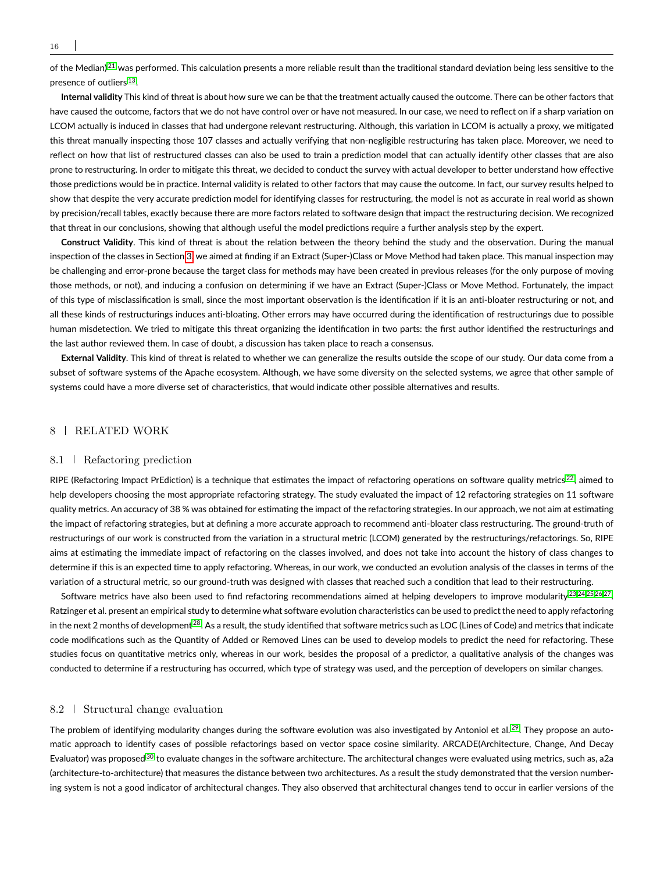of the Median)<sup>[21](#page-17-20)</sup> was performed. This calculation presents a more reliable result than the traditional standard deviation being less sensitive to the presence of outliers <sup>[13](#page-17-12)</sup>.

**Internal validity** This kind of threat is about how sure we can be that the treatment actually caused the outcome. There can be other factors that have caused the outcome, factors that we do not have control over or have not measured. In our case, we need to reflect on if a sharp variation on LCOM actually is induced in classes that had undergone relevant restructuring. Although, this variation in LCOM is actually a proxy, we mitigated this threat manually inspecting those 107 classes and actually verifying that non-negligible restructuring has taken place. Moreover, we need to reflect on how that list of restructured classes can also be used to train a prediction model that can actually identify other classes that are also prone to restructuring. In order to mitigate this threat, we decided to conduct the survey with actual developer to better understand how effective those predictions would be in practice. Internal validity is related to other factors that may cause the outcome. In fact, our survey results helped to show that despite the very accurate prediction model for identifying classes for restructuring, the model is not as accurate in real world as shown by precision/recall tables, exactly because there are more factors related to software design that impact the restructuring decision. We recognized that threat in our conclusions, showing that although useful the model predictions require a further analysis step by the expert.

**Construct Validity**. This kind of threat is about the relation between the theory behind the study and the observation. During the manual inspection of the classes in Section [3,](#page-3-0) we aimed at finding if an Extract (Super-)Class or Move Method had taken place. This manual inspection may be challenging and error-prone because the target class for methods may have been created in previous releases (for the only purpose of moving those methods, or not), and inducing a confusion on determining if we have an Extract (Super-)Class or Move Method. Fortunately, the impact of this type of misclassification is small, since the most important observation is the identification if it is an anti-bloater restructuring or not, and all these kinds of restructurings induces anti-bloating. Other errors may have occurred during the identification of restructurings due to possible human misdetection. We tried to mitigate this threat organizing the identification in two parts: the first author identified the restructurings and the last author reviewed them. In case of doubt, a discussion has taken place to reach a consensus.

**External Validity**. This kind of threat is related to whether we can generalize the results outside the scope of our study. Our data come from a subset of software systems of the Apache ecosystem. Although, we have some diversity on the selected systems, we agree that other sample of systems could have a more diverse set of characteristics, that would indicate other possible alternatives and results.

# <span id="page-15-0"></span>8 RELATED WORK

#### 8.1 Refactoring prediction

RIPE (Refactoring Impact PrEdiction) is a technique that estimates the impact of refactoring operations on software quality metrics  $^{22}$  $^{22}$  $^{22}$ , aimed to help developers choosing the most appropriate refactoring strategy. The study evaluated the impact of 12 refactoring strategies on 11 software quality metrics. An accuracy of 38 % was obtained for estimating the impact of the refactoring strategies. In our approach, we not aim at estimating the impact of refactoring strategies, but at defining a more accurate approach to recommend anti-bloater class restructuring. The ground-truth of restructurings of our work is constructed from the variation in a structural metric (LCOM) generated by the restructurings/refactorings. So, RIPE aims at estimating the immediate impact of refactoring on the classes involved, and does not take into account the history of class changes to determine if this is an expected time to apply refactoring. Whereas, in our work, we conducted an evolution analysis of the classes in terms of the variation of a structural metric, so our ground-truth was designed with classes that reached such a condition that lead to their restructuring.

Software metrics have also been used to find refactoring recommendations aimed at helping developers to improve modularity <sup>[23](#page-17-22)[,24,](#page-18-0)[25,](#page-18-1)[26,](#page-18-2)[27](#page-18-3)</sup>. Ratzinger et al. present an empirical study to determine what software evolution characteristics can be used to predict the need to apply refactoring in the next 2 months of development  $^{28}$  $^{28}$  $^{28}$ . As a result, the study identified that software metrics such as LOC (Lines of Code) and metrics that indicate code modifications such as the Quantity of Added or Removed Lines can be used to develop models to predict the need for refactoring. These studies focus on quantitative metrics only, whereas in our work, besides the proposal of a predictor, a qualitative analysis of the changes was conducted to determine if a restructuring has occurred, which type of strategy was used, and the perception of developers on similar changes.

### 8.2 Structural change evaluation

The problem of identifying modularity changes during the software evolution was also investigated by Antoniol et al.<sup>[29](#page-18-5)</sup>. They propose an automatic approach to identify cases of possible refactorings based on vector space cosine similarity. ARCADE(Architecture, Change, And Decay Evaluator) was proposed <sup>[30](#page-18-6)</sup> to evaluate changes in the software architecture. The architectural changes were evaluated using metrics, such as, a 2a (architecture-to-architecture) that measures the distance between two architectures. As a result the study demonstrated that the version numbering system is not a good indicator of architectural changes. They also observed that architectural changes tend to occur in earlier versions of the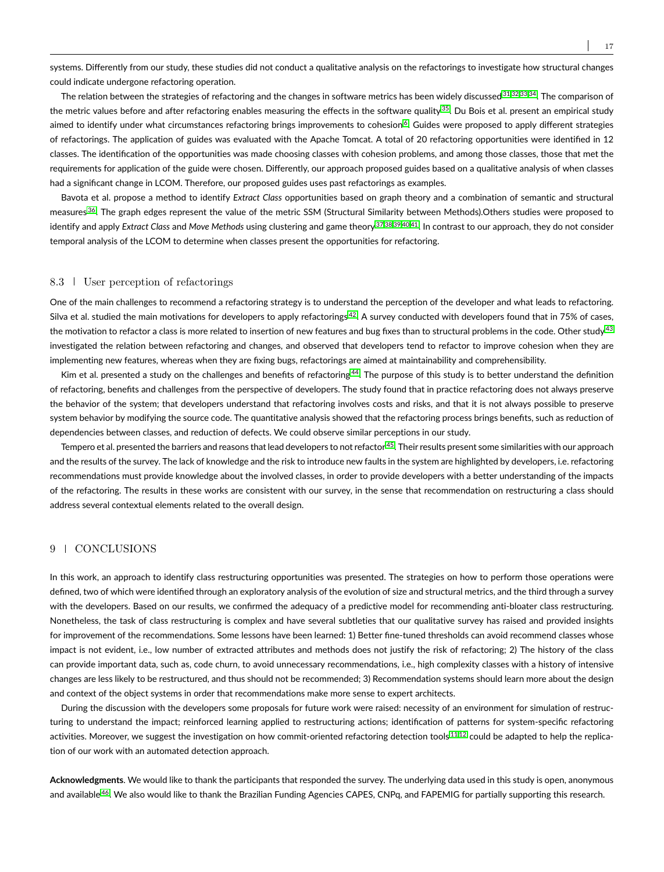systems. Differently from our study, these studies did not conduct a qualitative analysis on the refactorings to investigate how structural changes could indicate undergone refactoring operation.

The relation between the strategies of refactoring and the changes in software metrics has been widely discussed [31,](#page-18-7)[32,](#page-18-8)[33](#page-18-9)[,34](#page-18-10). The comparison of the metric values before and after refactoring enables measuring the effects in the software quality  $35$ . Du Bois et al. present an empirical study aimed to identify under what circumstances refactoring brings improvements to cohesion<sup>[6](#page-17-5)</sup>. Guides were proposed to apply different strategies of refactorings. The application of guides was evaluated with the Apache Tomcat. A total of 20 refactoring opportunities were identified in 12 classes. The identification of the opportunities was made choosing classes with cohesion problems, and among those classes, those that met the requirements for application of the guide were chosen. Differently, our approach proposed guides based on a qualitative analysis of when classes had a significant change in LCOM. Therefore, our proposed guides uses past refactorings as examples.

Bavota et al. propose a method to identify *Extract Class* opportunities based on graph theory and a combination of semantic and structural measures <sup>[36](#page-18-12)</sup>. The graph edges represent the value of the metric SSM (Structural Similarity between Methods).Others studies were proposed to identify and apply *Extract Class* and *Move Methods* using clustering and game theory [37](#page-18-13)[,38,](#page-18-14)[39](#page-18-15)[,40,](#page-18-16)[41](#page-18-17). In contrast to our approach, they do not consider temporal analysis of the LCOM to determine when classes present the opportunities for refactoring.

# 8.3 User perception of refactorings

One of the main challenges to recommend a refactoring strategy is to understand the perception of the developer and what leads to refactoring. Silva et al. studied the main motivations for developers to apply refactorings  $42$ . A survey conducted with developers found that in 75% of cases, the motivation to refactor a class is more related to insertion of new features and bug fixes than to structural problems in the code. Other study <sup>[43](#page-18-19)</sup> investigated the relation between refactoring and changes, and observed that developers tend to refactor to improve cohesion when they are implementing new features, whereas when they are fixing bugs, refactorings are aimed at maintainability and comprehensibility.

Kim et al. presented a study on the challenges and benefits of refactoring<sup>[44](#page-18-20)</sup>. The purpose of this study is to better understand the definition of refactoring, benefits and challenges from the perspective of developers. The study found that in practice refactoring does not always preserve the behavior of the system; that developers understand that refactoring involves costs and risks, and that it is not always possible to preserve system behavior by modifying the source code. The quantitative analysis showed that the refactoring process brings benefits, such as reduction of dependencies between classes, and reduction of defects. We could observe similar perceptions in our study.

Tempero et al. presented the barriers and reasons that lead developers to not refactor <sup>[45](#page-18-21)</sup>. Their results present some similarities with our approach and the results of the survey. The lack of knowledge and the risk to introduce new faults in the system are highlighted by developers, i.e. refactoring recommendations must provide knowledge about the involved classes, in order to provide developers with a better understanding of the impacts of the refactoring. The results in these works are consistent with our survey, in the sense that recommendation on restructuring a class should address several contextual elements related to the overall design.

# 9 | CONCLUSIONS

In this work, an approach to identify class restructuring opportunities was presented. The strategies on how to perform those operations were defined, two of which were identified through an exploratory analysis of the evolution of size and structural metrics, and the third through a survey with the developers. Based on our results, we confirmed the adequacy of a predictive model for recommending anti-bloater class restructuring. Nonetheless, the task of class restructuring is complex and have several subtleties that our qualitative survey has raised and provided insights for improvement of the recommendations. Some lessons have been learned: 1) Better fine-tuned thresholds can avoid recommend classes whose impact is not evident, i.e., low number of extracted attributes and methods does not justify the risk of refactoring; 2) The history of the class can provide important data, such as, code churn, to avoid unnecessary recommendations, i.e., high complexity classes with a history of intensive changes are less likely to be restructured, and thus should not be recommended; 3) Recommendation systems should learn more about the design and context of the object systems in order that recommendations make more sense to expert architects.

During the discussion with the developers some proposals for future work were raised: necessity of an environment for simulation of restructuring to understand the impact; reinforced learning applied to restructuring actions; identification of patterns for system-specific refactoring activities. Moreover, we suggest the investigation on how commit-oriented refactoring detection tools<sup>[11,](#page-17-10)[12](#page-17-11)</sup> could be adapted to help the replication of our work with an automated detection approach.

**Acknowledgments**. We would like to thank the participants that responded the survey. The underlying data used in this study is open, anonymous and available<sup>[46](#page-18-22)</sup>. We also would like to thank the Brazilian Funding Agencies CAPES, CNPq, and FAPEMIG for partially supporting this research.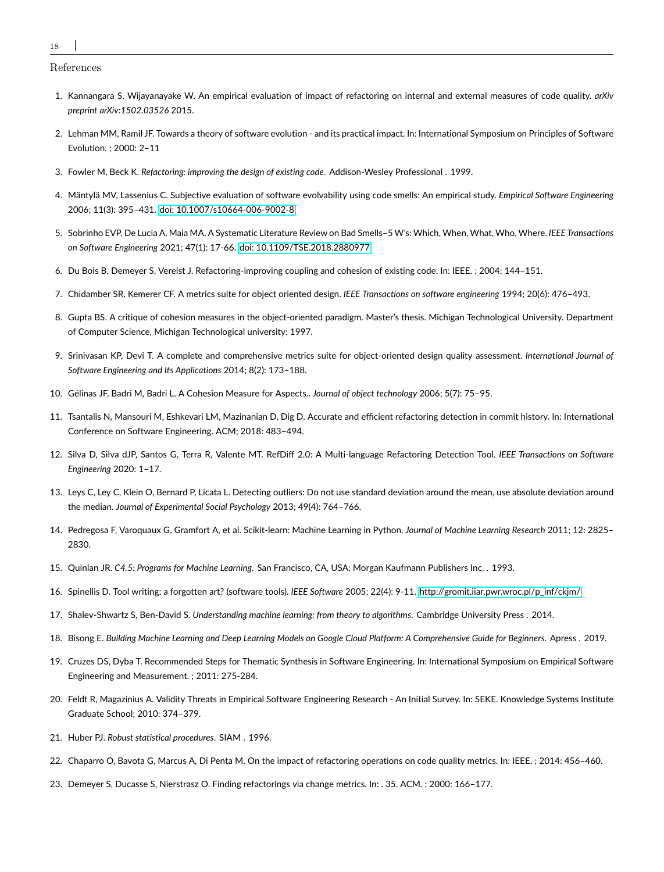18

References

- <span id="page-17-0"></span>1. Kannangara S, Wijayanayake W. An empirical evaluation of impact of refactoring on internal and external measures of code quality. *arXiv preprint arXiv:1502.03526* 2015.
- <span id="page-17-1"></span>2. Lehman MM, Ramil JF. Towards a theory of software evolution - and its practical impact. In: International Symposium on Principles of Software Evolution. ; 2000: 2–11
- <span id="page-17-2"></span>3. Fowler M, Beck K. *Refactoring: improving the design of existing code*. Addison-Wesley Professional . 1999.
- <span id="page-17-3"></span>4. Mäntylä MV, Lassenius C. Subjective evaluation of software evolvability using code smells: An empirical study. *Empirical Software Engineering* 2006; 11(3): 395–431. [doi: 10.1007/s10664-006-9002-8](http://dx.doi.org/10.1007/s10664-006-9002-8)
- <span id="page-17-4"></span>5. Sobrinho EVP, De Lucia A, Maia MA. A Systematic Literature Review on Bad Smells–5 W's: Which, When, What, Who, Where. *IEEE Transactions on Software Engineering* 2021; 47(1): 17-66. [doi: 10.1109/TSE.2018.2880977](http://dx.doi.org/10.1109/TSE.2018.2880977)
- <span id="page-17-5"></span>6. Du Bois B, Demeyer S, Verelst J. Refactoring-improving coupling and cohesion of existing code. In: IEEE. ; 2004: 144–151.
- <span id="page-17-6"></span>7. Chidamber SR, Kemerer CF. A metrics suite for object oriented design. *IEEE Transactions on software engineering* 1994; 20(6): 476–493.
- <span id="page-17-7"></span>8. Gupta BS. A critique of cohesion measures in the object-oriented paradigm. Master's thesis. Michigan Technological University. Department of Computer Science, Michigan Technological university: 1997.
- <span id="page-17-8"></span>9. Srinivasan KP, Devi T. A complete and comprehensive metrics suite for object-oriented design quality assessment. *International Journal of Software Engineering and Its Applications* 2014; 8(2): 173–188.
- <span id="page-17-9"></span>10. Gélinas JF, Badri M, Badri L. A Cohesion Measure for Aspects.. *Journal of object technology* 2006; 5(7): 75–95.
- <span id="page-17-10"></span>11. Tsantalis N, Mansouri M, Eshkevari LM, Mazinanian D, Dig D. Accurate and efficient refactoring detection in commit history. In: International Conference on Software Engineering. ACM; 2018: 483–494.
- <span id="page-17-11"></span>12. Silva D, Silva dJP, Santos G, Terra R, Valente MT. RefDiff 2.0: A Multi-language Refactoring Detection Tool. *IEEE Transactions on Software Engineering* 2020: 1–17.
- <span id="page-17-12"></span>13. Leys C, Ley C, Klein O, Bernard P, Licata L. Detecting outliers: Do not use standard deviation around the mean, use absolute deviation around the median. *Journal of Experimental Social Psychology* 2013; 49(4): 764–766.
- <span id="page-17-13"></span>14. Pedregosa F, Varoquaux G, Gramfort A, et al. Scikit-learn: Machine Learning in Python. *Journal of Machine Learning Research* 2011; 12: 2825– 2830.
- <span id="page-17-14"></span>15. Quinlan JR. *C4.5: Programs for Machine Learning*. San Francisco, CA, USA: Morgan Kaufmann Publishers Inc. . 1993.
- <span id="page-17-15"></span>16. Spinellis D. Tool writing: a forgotten art? (software tools). *IEEE Software* 2005; 22(4): 9-11. [http://gromit.iiar.pwr.wroc.pl/p\\_inf/ckjm/.](http://gromit.iiar.pwr.wroc.pl/p_inf/ckjm/)
- <span id="page-17-16"></span>17. Shalev-Shwartz S, Ben-David S. *Understanding machine learning: from theory to algorithms*. Cambridge University Press . 2014.
- <span id="page-17-17"></span>18. Bisong E. *Building Machine Learning and Deep Learning Models on Google Cloud Platform: A Comprehensive Guide for Beginners*. Apress . 2019.
- <span id="page-17-18"></span>19. Cruzes DS, Dyba T. Recommended Steps for Thematic Synthesis in Software Engineering. In: International Symposium on Empirical Software Engineering and Measurement. ; 2011: 275-284.
- <span id="page-17-19"></span>20. Feldt R, Magazinius A. Validity Threats in Empirical Software Engineering Research - An Initial Survey. In: SEKE. Knowledge Systems Institute Graduate School; 2010: 374–379.
- <span id="page-17-20"></span>21. Huber PJ. *Robust statistical procedures*. SIAM . 1996.
- <span id="page-17-21"></span>22. Chaparro O, Bavota G, Marcus A, Di Penta M. On the impact of refactoring operations on code quality metrics. In: IEEE. ; 2014: 456–460.
- <span id="page-17-22"></span>23. Demeyer S, Ducasse S, Nierstrasz O. Finding refactorings via change metrics. In: . 35. ACM. ; 2000: 166–177.